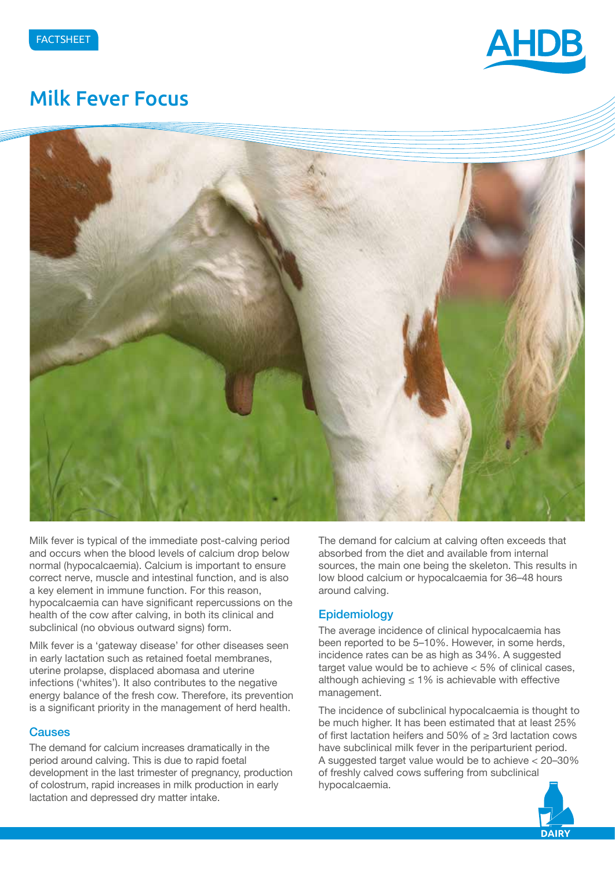

# Milk Fever Focus



Milk fever is typical of the immediate post-calving period and occurs when the blood levels of calcium drop below normal (hypocalcaemia). Calcium is important to ensure correct nerve, muscle and intestinal function, and is also a key element in immune function. For this reason, hypocalcaemia can have significant repercussions on the health of the cow after calving, in both its clinical and subclinical (no obvious outward signs) form.

Milk fever is a 'gateway disease' for other diseases seen in early lactation such as retained foetal membranes, uterine prolapse, displaced abomasa and uterine infections ('whites'). It also contributes to the negative energy balance of the fresh cow. Therefore, its prevention is a significant priority in the management of herd health.

### **Causes**

The demand for calcium increases dramatically in the period around calving. This is due to rapid foetal development in the last trimester of pregnancy, production of colostrum, rapid increases in milk production in early lactation and depressed dry matter intake.

The demand for calcium at calving often exceeds that absorbed from the diet and available from internal sources, the main one being the skeleton. This results in low blood calcium or hypocalcaemia for 36–48 hours around calving.

### **Epidemiology**

The average incidence of clinical hypocalcaemia has been reported to be 5–10%. However, in some herds, incidence rates can be as high as 34%. A suggested target value would be to achieve  $< 5\%$  of clinical cases, although achieving  $\leq 1\%$  is achievable with effective management.

The incidence of subclinical hypocalcaemia is thought to be much higher. It has been estimated that at least 25% of first lactation heifers and 50% of ≥ 3rd lactation cows have subclinical milk fever in the periparturient period. A suggested target value would be to achieve < 20–30% of freshly calved cows suffering from subclinical hypocalcaemia.

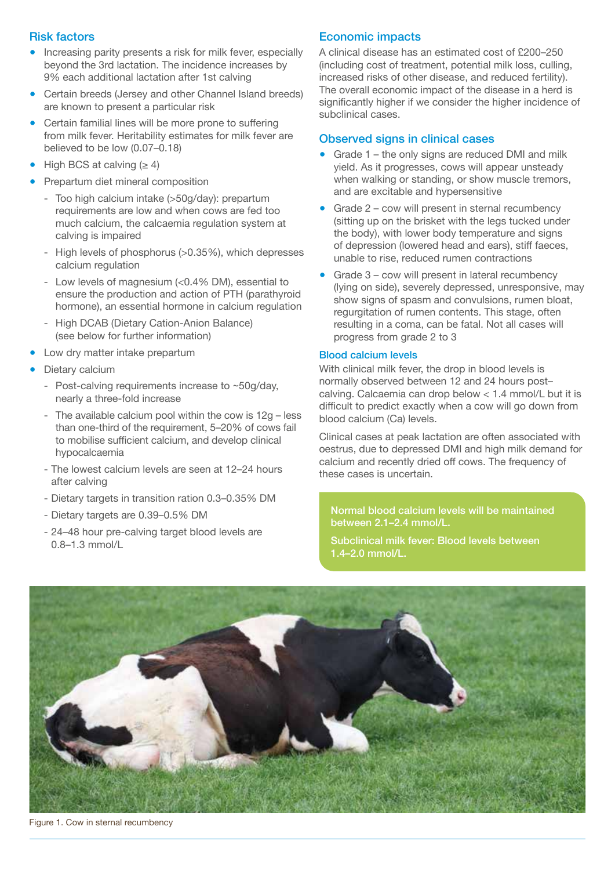### Risk factors

- Increasing parity presents a risk for milk fever, especially beyond the 3rd lactation. The incidence increases by 9% each additional lactation after 1st calving
- Certain breeds (Jersey and other Channel Island breeds) are known to present a particular risk
- Certain familial lines will be more prone to suffering from milk fever. Heritability estimates for milk fever are believed to be low (0.07–0.18)
- High BCS at calving  $(≥ 4)$
- Prepartum diet mineral composition
	- Too high calcium intake (>50g/day): prepartum requirements are low and when cows are fed too much calcium, the calcaemia regulation system at calving is impaired
	- High levels of phosphorus (>0.35%), which depresses calcium regulation
	- Low levels of magnesium (<0.4% DM), essential to ensure the production and action of PTH (parathyroid hormone), an essential hormone in calcium regulation
	- High DCAB (Dietary Cation-Anion Balance) (see below for further information)
- Low dry matter intake prepartum
- Dietary calcium
	- Post-calving requirements increase to ~50g/day, nearly a three-fold increase
	- The available calcium pool within the cow is 12g less than one-third of the requirement, 5–20% of cows fail to mobilise sufficient calcium, and develop clinical hypocalcaemia
	- The lowest calcium levels are seen at 12–24 hours after calving
	- Dietary targets in transition ration 0.3–0.35% DM
	- Dietary targets are 0.39–0.5% DM
	- 24–48 hour pre-calving target blood levels are 0.8–1.3 mmol/L

## Economic impacts

A clinical disease has an estimated cost of £200–250 (including cost of treatment, potential milk loss, culling, increased risks of other disease, and reduced fertility). The overall economic impact of the disease in a herd is significantly higher if we consider the higher incidence of subclinical cases.

## Observed signs in clinical cases

- $\bullet$  Grade 1 the only signs are reduced DMI and milk yield. As it progresses, cows will appear unsteady when walking or standing, or show muscle tremors, and are excitable and hypersensitive
- Grade  $2$  cow will present in sternal recumbency (sitting up on the brisket with the legs tucked under the body), with lower body temperature and signs of depression (lowered head and ears), stiff faeces, unable to rise, reduced rumen contractions
- Grade  $3$  cow will present in lateral recumbency (lying on side), severely depressed, unresponsive, may show signs of spasm and convulsions, rumen bloat, regurgitation of rumen contents. This stage, often resulting in a coma, can be fatal. Not all cases will progress from grade 2 to 3

#### Blood calcium levels

With clinical milk fever, the drop in blood levels is normally observed between 12 and 24 hours post– calving. Calcaemia can drop below < 1.4 mmol/L but it is difficult to predict exactly when a cow will go down from blood calcium (Ca) levels.

Clinical cases at peak lactation are often associated with oestrus, due to depressed DMI and high milk demand for calcium and recently dried off cows. The frequency of these cases is uncertain.

Normal blood calcium levels will be maintained between 2.1–2.4 mmol/L.

Subclinical milk fever: Blood levels between 1.4–2.0 mmol/L.



Figure 1. Cow in sternal recumbency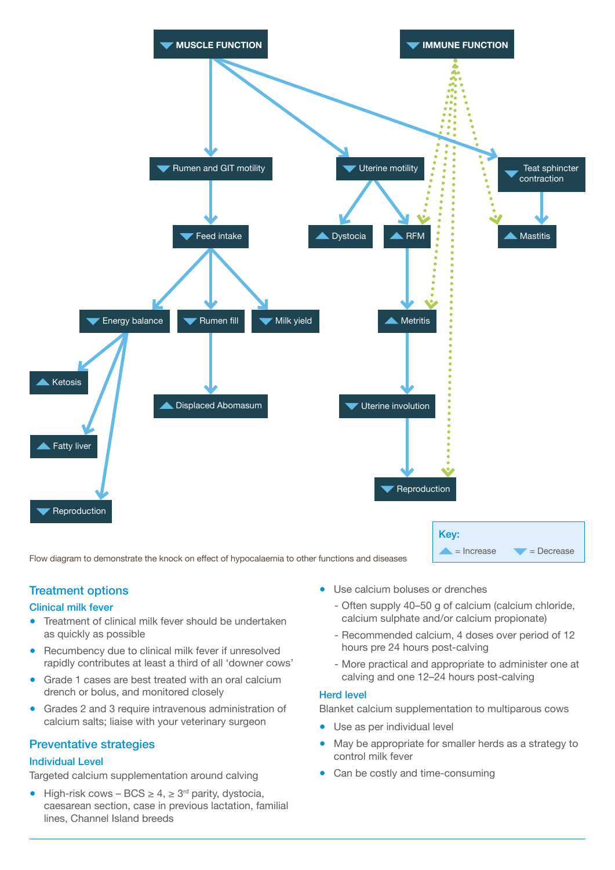

Flow diagram to demonstrate the knock on effect of hypocalaemia to other functions and diseases

## Treatment options

#### Clinical milk fever

- Treatment of clinical milk fever should be undertaken as quickly as possible
- Recumbency due to clinical milk fever if unresolved rapidly contributes at least a third of all 'downer cows'
- Grade 1 cases are best treated with an oral calcium drench or bolus, and monitored closely
- Grades 2 and 3 require intravenous administration of calcium salts; liaise with your veterinary surgeon

#### Preventative strategies

#### Individual Level

Targeted calcium supplementation around calving

● High-risk cows – BCS  $\geq 4$ ,  $\geq 3^{rd}$  parity, dystocia, caesarean section, case in previous lactation, familial lines, Channel Island breeds

- Use calcium boluses or drenches
	- Often supply 40–50 g of calcium (calcium chloride, calcium sulphate and/or calcium propionate)
	- Recommended calcium, 4 doses over period of 12 hours pre 24 hours post-calving
	- More practical and appropriate to administer one at calving and one 12–24 hours post-calving

#### Herd level

Blanket calcium supplementation to multiparous cows

- Use as per individual level
- May be appropriate for smaller herds as a strategy to control milk fever
- Can be costly and time-consuming